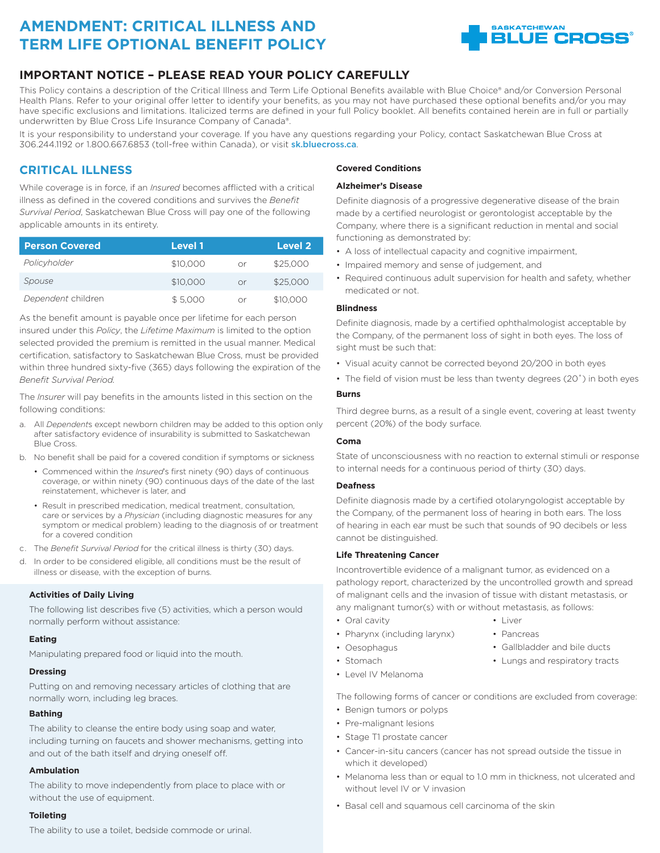# **AMENDMENT: CRITICAL ILLNESS AND TERM LIFE OPTIONAL BENEFIT POLICY**



### **IMPORTANT NOTICE – PLEASE READ YOUR POLICY CAREFULLY**

This Policy contains a description of the Critical Illness and Term Life Optional Benefits available with Blue Choice® and/or Conversion Personal Health Plans. Refer to your original offer letter to identify your benefits, as you may not have purchased these optional benefits and/or you may have specific exclusions and limitations. Italicized terms are defined in your full Policy booklet. All benefits contained herein are in full or partially underwritten by Blue Cross Life Insurance Company of Canada®.

It is your responsibility to understand your coverage. If you have any questions regarding your Policy, contact Saskatchewan Blue Cross at 306.244.1192 or 1.800.667.6853 (toll-free within Canada), or visit sk.bluecross.ca.

### **CRITICAL ILLNESS**

While coverage is in force, if an *Insured* becomes afflicted with a critical illness as defined in the covered conditions and survives the *Benefit Survival Period*, Saskatchewan Blue Cross will pay one of the following applicable amounts in its entirety.

| <b>Person Covered</b> | <b>Level 1</b> |    | <b>Level 2</b> |
|-----------------------|----------------|----|----------------|
| Policyholder          | \$10,000       | Ωr | \$25,000       |
| Spouse                | \$10,000       | Or | \$25,000       |
| Dependent children    | \$5,000        | nr | \$10,000       |

As the benefit amount is payable once per lifetime for each person insured under this *Policy*, the *Lifetime Maximum* is limited to the option selected provided the premium is remitted in the usual manner. Medical certification, satisfactory to Saskatchewan Blue Cross, must be provided within three hundred sixty-five (365) days following the expiration of the *Benefit Survival Period.*

The *Insurer* will pay benefits in the amounts listed in this section on the following conditions:

- a. All *Dependent*s except newborn children may be added to this option only after satisfactory evidence of insurability is submitted to Saskatchewan Blue Cross.
- b. No benefit shall be paid for a covered condition if symptoms or sickness
	- Commenced within the *Insured*'s first ninety (90) days of continuous coverage, or within ninety (90) continuous days of the date of the last reinstatement, whichever is later, and
	- Result in prescribed medication, medical treatment, consultation, care or services by a *Physician* (including diagnostic measures for any symptom or medical problem) leading to the diagnosis of or treatment for a covered condition
- c. The *Benefit Survival Period* for the critical illness is thirty (30) days.
- d. In order to be considered eligible, all conditions must be the result of illness or disease, with the exception of burns.

### **Activities of Daily Living**

The following list describes five (5) activities, which a person would normally perform without assistance:

### **Eating**

Manipulating prepared food or liquid into the mouth.

### **Dressing**

Putting on and removing necessary articles of clothing that are normally worn, including leg braces.

### **Bathing**

The ability to cleanse the entire body using soap and water, including turning on faucets and shower mechanisms, getting into and out of the bath itself and drying oneself off.

### **Ambulation**

The ability to move independently from place to place with or without the use of equipment.

### **Toileting**

The ability to use a toilet, bedside commode or urinal.

### **Covered Conditions**

### **Alzheimer's Disease**

Definite diagnosis of a progressive degenerative disease of the brain made by a certified neurologist or gerontologist acceptable by the Company, where there is a significant reduction in mental and social functioning as demonstrated by:

- A loss of intellectual capacity and cognitive impairment,
- Impaired memory and sense of judgement, and
- Required continuous adult supervision for health and safety, whether medicated or not.

### **Blindness**

Definite diagnosis, made by a certified ophthalmologist acceptable by the Company, of the permanent loss of sight in both eyes. The loss of sight must be such that:

- Visual acuity cannot be corrected beyond 20/200 in both eyes
- The field of vision must be less than twenty degrees (20˚) in both eyes

### **Burns**

Third degree burns, as a result of a single event, covering at least twenty percent (20%) of the body surface.

#### **Coma**

State of unconsciousness with no reaction to external stimuli or response to internal needs for a continuous period of thirty (30) days.

### **Deafness**

Definite diagnosis made by a certified otolaryngologist acceptable by the Company, of the permanent loss of hearing in both ears. The loss of hearing in each ear must be such that sounds of 90 decibels or less cannot be distinguished.

### **Life Threatening Cancer**

Incontrovertible evidence of a malignant tumor, as evidenced on a pathology report, characterized by the uncontrolled growth and spread of malignant cells and the invasion of tissue with distant metastasis, or any malignant tumor(s) with or without metastasis, as follows:

> $\cdot$  Liver • Pancreas

• Gallbladder and bile ducts • Lungs and respiratory tracts

- Oral cavity
- Pharynx (including larynx)
- Oesophagus
- Stomach
- Level IV Melanoma
- The following forms of cancer or conditions are excluded from coverage:
- Benign tumors or polyps
- Pre-malignant lesions
- Stage T1 prostate cancer
- Cancer-in-situ cancers (cancer has not spread outside the tissue in which it developed)
- Melanoma less than or equal to 1.0 mm in thickness, not ulcerated and without level IV or V invasion
- Basal cell and squamous cell carcinoma of the skin